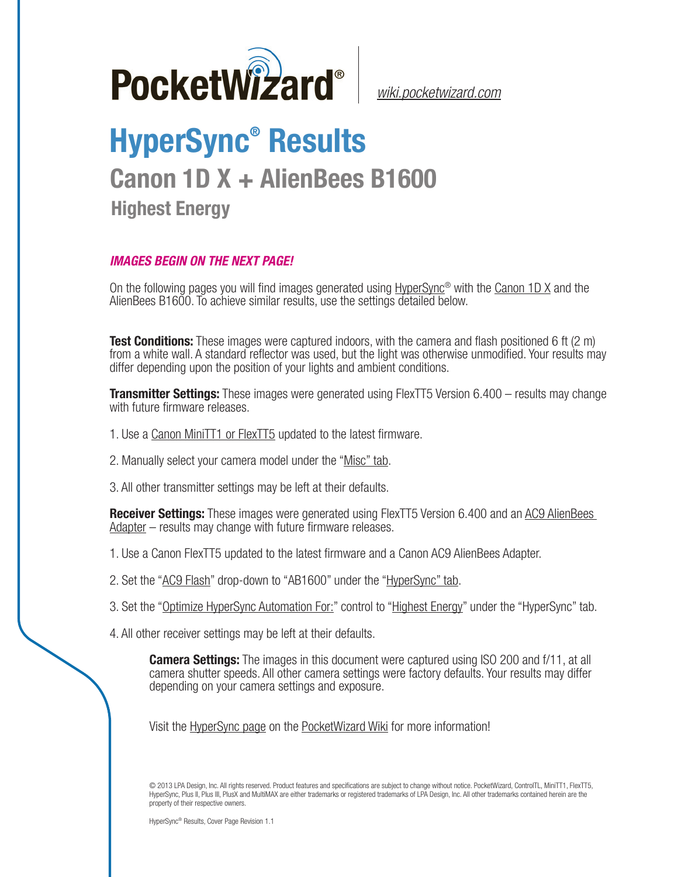

*[wiki.pocketwizard.com](http://wiki.pocketwizard.com/)*

## **HyperSync® Results**

## **Canon 1D X + AlienBees B1600**

**Highest Energy**

## *IMAGES BEGIN ON THE NEXT PAGE!*

On the following pages you will find images generated using [HyperSync](http://wiki.pocketwizard.com/index.php?title=Hypersync)® with the [Canon 1D X](http://wiki.pocketwizard.com/index.php?title=Canon_1D_X) and the AlienBees B1600. To achieve similar results, use the settings detailed below.

**Test Conditions:** These images were captured indoors, with the camera and flash positioned 6 ft (2 m) from a white wall. A standard reflector was used, but the light was otherwise unmodified. Your results may differ depending upon the position of your lights and ambient conditions.

**Transmitter Settings:** These images were generated using FlexTT5 Version 6.400 – results may change with future firmware releases.

- 1. Use a [Canon MiniTT1 or FlexTT5](http://wiki.pocketwizard.com/index.php?title=Canon_MiniTT1_and_FlexTT5) updated to the latest firmware.
- 2. Manually select your camera model under the "[Misc" tab](http://wiki.pocketwizard.com/index.php?title=Misc_Tab).
- 3. All other transmitter settings may be left at their defaults.

**Receiver Settings:** These images were generated using FlexTT5 Version 6.400 and an [AC9 AlienBees](http://wiki.pocketwizard.com/index.php?title=AC9_AlienBees_Adapter)  [Adapter](http://wiki.pocketwizard.com/index.php?title=AC9_AlienBees_Adapter) – results may change with future firmware releases.

- 1. Use a [Canon FlexTT5](http://wiki.pocketwizard.com/index.php?title=Canon_MiniTT1_and_FlexTT5) updated to the latest firmware and a Canon AC9 AlienBees Adapter.
- 2. Set the "[AC9 Flash](http://wiki.pocketwizard.com/index.php?title=HyperSync/HSS_Tab#AC9_Flash)" drop-down to "AB1600" under the "[HyperSync" tab](http://wiki.pocketwizard.com/index.php?title=Hypersync_tab).
- 3. Set the "[Optimize HyperSync Automation For:](http://wiki.pocketwizard.com/index.php?title=HyperSync/HSS_Tab#Optimize_HyperSync_Automation_For:)" control to ["Highest Energy"](http://wiki.pocketwizard.com/index.php?title=HyperSync/HSS_Tab#Optimize_HyperSync_Automation_For:) under the "HyperSync" tab.
- 4. All other receiver settings may be left at their defaults.

**Camera Settings:** The images in this document were captured using ISO 200 and f/11, at all camera shutter speeds. All other camera settings were factory defaults. Your results may differ depending on your camera settings and exposure.

Visit the [HyperSync page](http://wiki.pocketwizard.com/index.php?title=Hypersync) on the P[ocketWizard Wiki](http://wiki.pocketwizard.com/) for more information!

© 2013 LPA Design, Inc. All rights reserved. Product features and specifications are subject to change without notice. PocketWizard, ControlTL, MiniTT1, FlexTT5, HyperSync, Plus II, Plus III, PlusX and MultiMAX are either trademarks or registered trademarks of LPA Design, Inc. All other trademarks contained herein are the property of their respective owners.

HyperSync® Results, Cover Page Revision 1.1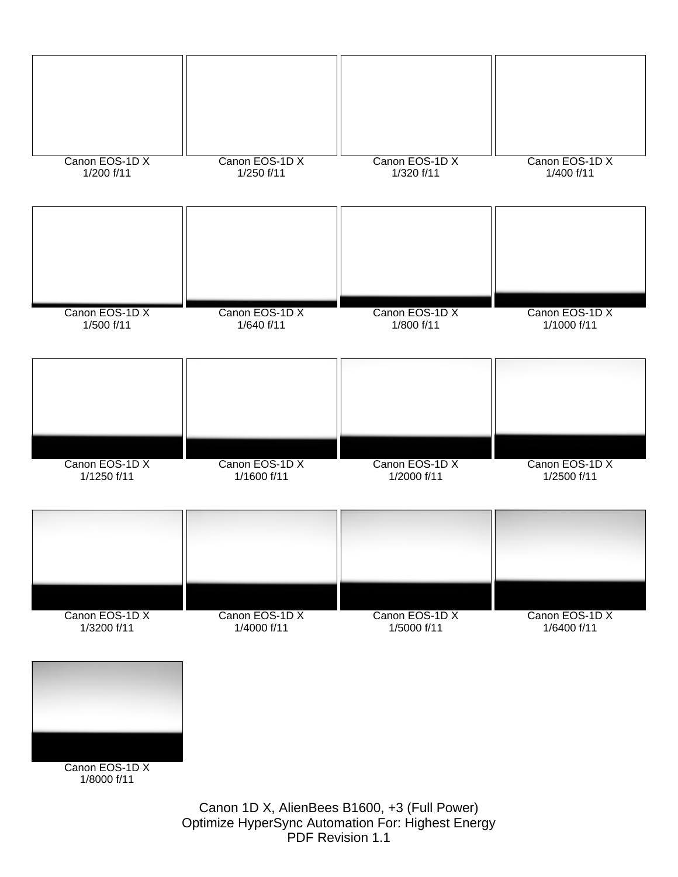

Canon 1D X, AlienBees B1600, +3 (Full Power) Optimize HyperSync Automation For: Highest Energy PDF Revision 1.1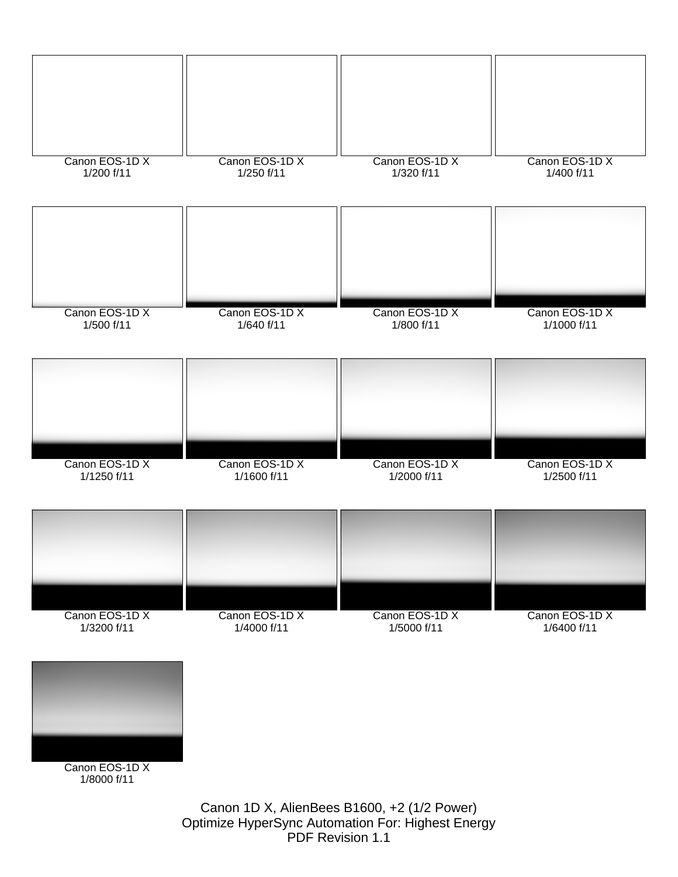

Optimize HyperSync Automation For: Highest Energy

PDF Revision 1.1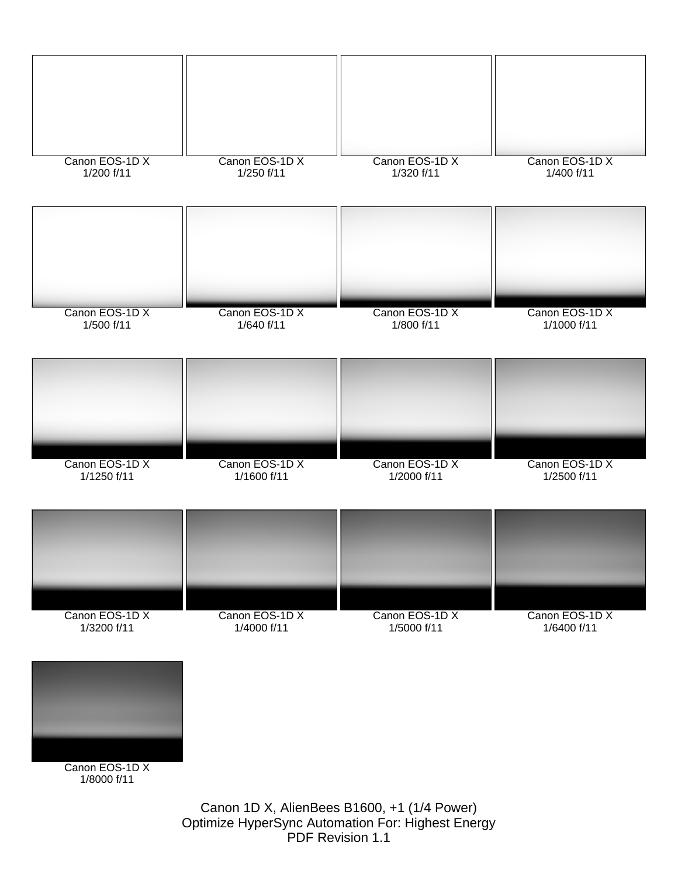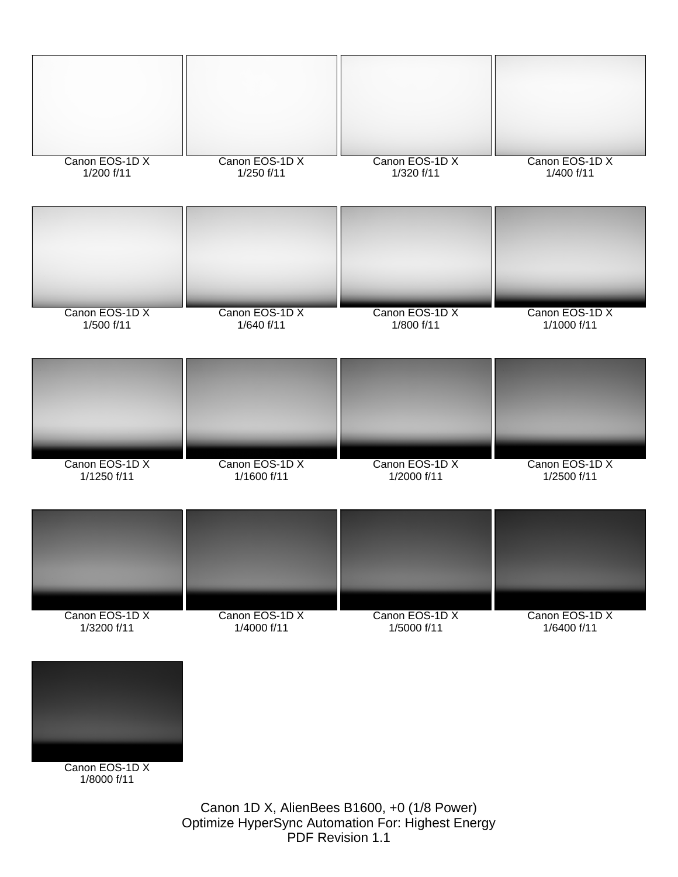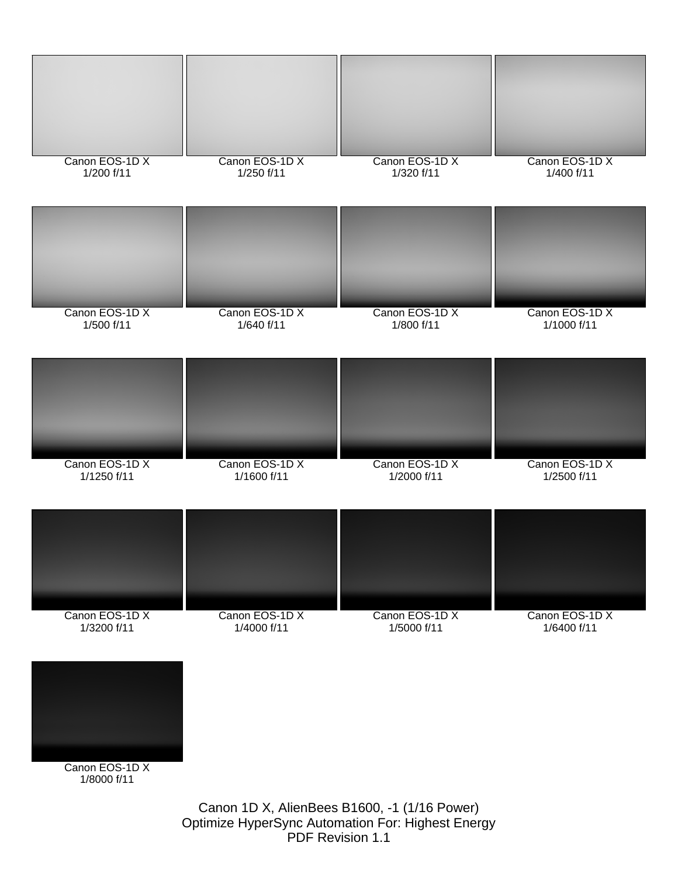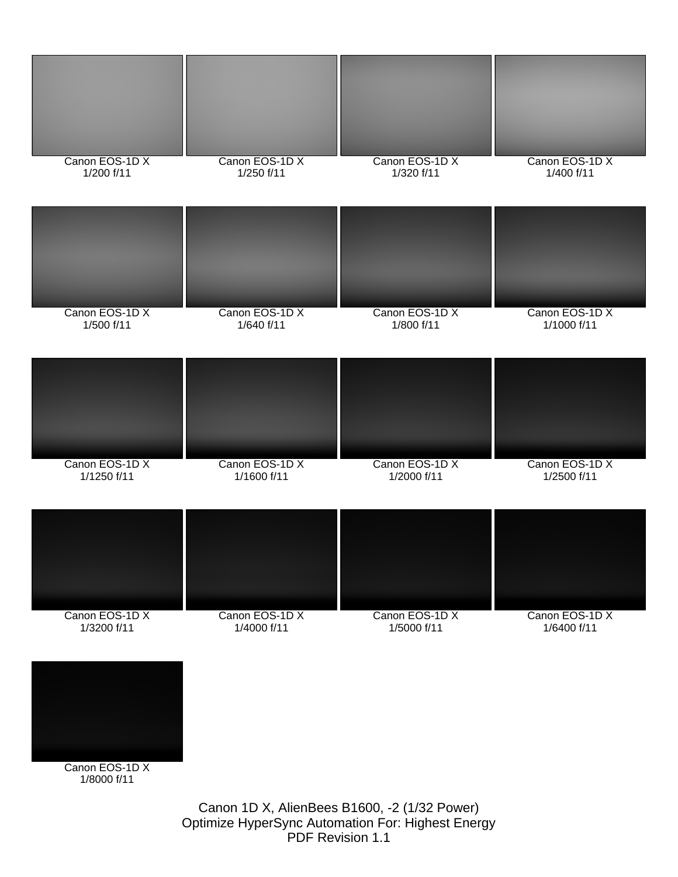